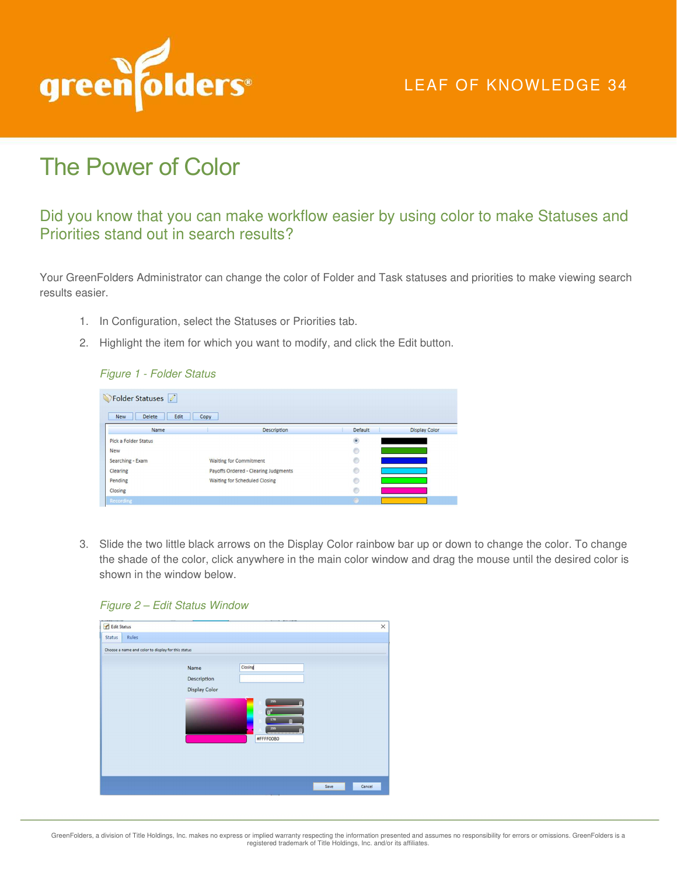

## LEAF OF KNOWLEDGE 34

# The Power of Color

## Did you know that you can make workflow easier by using color to make Statuses and Priorities stand out in search results?

Your GreenFolders Administrator can change the color of Folder and Task statuses and priorities to make viewing search results easier.

- 1. In Configuration, select the Statuses or Priorities tab.
- 2. Highlight the item for which you want to modify, and click the Edit button.

#### Figure 1 - Folder Status

| Folder Statuses 0            |                                      |         |                      |  |  |
|------------------------------|--------------------------------------|---------|----------------------|--|--|
| Edit<br><b>New</b><br>Delete | Copy                                 |         |                      |  |  |
| Name                         | Description                          | Default | <b>Display Color</b> |  |  |
| Pick a Folder Status         |                                      | $\circ$ |                      |  |  |
| <b>New</b>                   |                                      | O       |                      |  |  |
| Searching - Exam             | <b>Waiting for Commitment</b>        | O       |                      |  |  |
| Clearing                     | Payoffs Ordered - Clearing Judgments | O       |                      |  |  |
| Pending                      | Waiting for Scheduled Closing        | $6$     |                      |  |  |
| Closing                      |                                      | $\circ$ |                      |  |  |
| Recording                    |                                      |         |                      |  |  |

3. Slide the two little black arrows on the Display Color rainbow bar up or down to change the color. To change the shade of the color, click anywhere in the main color window and drag the mouse until the desired color is shown in the window below.



| Edit Status                                        |                      |                                           | $\times$ |
|----------------------------------------------------|----------------------|-------------------------------------------|----------|
| Rules<br><b>Status</b>                             |                      |                                           |          |
| Choose a name and color to display for this status |                      |                                           |          |
|                                                    | Name                 | Closing                                   |          |
|                                                    | Description          |                                           |          |
|                                                    | <b>Display Color</b> |                                           |          |
|                                                    |                      | 255<br>$n^{o}$<br>176<br>255<br>#FFFF00B0 |          |
|                                                    |                      | Save                                      | Cancel   |